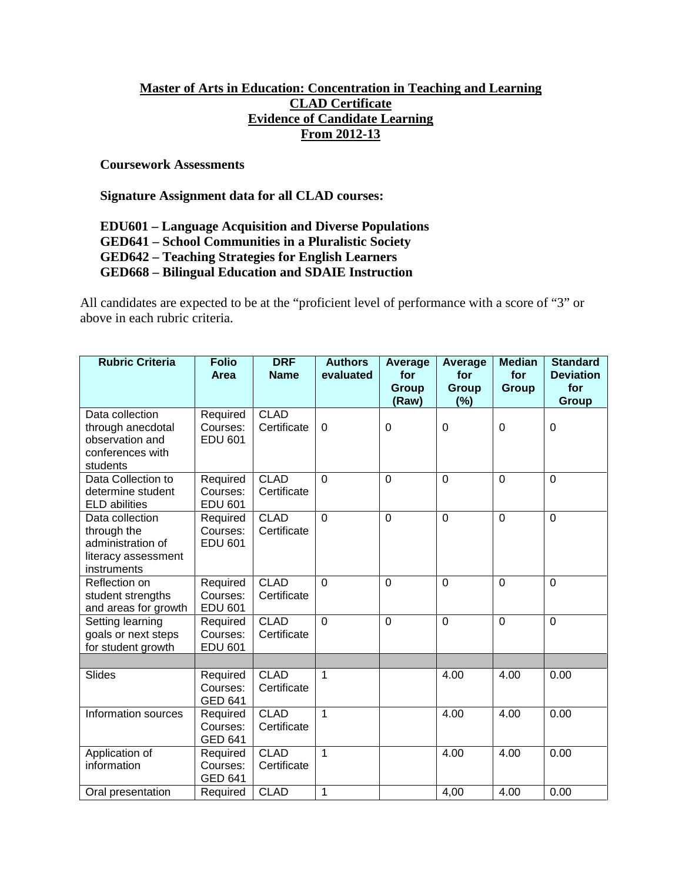## **Master of Arts in Education: Concentration in Teaching and Learning CLAD Certificate Evidence of Candidate Learning From 2012-13**

**Coursework Assessments**

**Signature Assignment data for all CLAD courses:**

**EDU601 – Language Acquisition and Diverse Populations**

**GED641 – School Communities in a Pluralistic Society**

**GED642 – Teaching Strategies for English Learners**

**GED668 – Bilingual Education and SDAIE Instruction**

All candidates are expected to be at the "proficient level of performance with a score of "3" or above in each rubric criteria.

| <b>Rubric Criteria</b>                                                                    | <b>Folio</b><br><b>Area</b>            | <b>DRF</b><br><b>Name</b>  | <b>Authors</b><br>evaluated | <b>Average</b><br>for<br>Group<br>(Raw) | <b>Average</b><br>for<br>Group<br>$(\%)$ | <b>Median</b><br>for<br><b>Group</b> | <b>Standard</b><br><b>Deviation</b><br>for<br><b>Group</b> |
|-------------------------------------------------------------------------------------------|----------------------------------------|----------------------------|-----------------------------|-----------------------------------------|------------------------------------------|--------------------------------------|------------------------------------------------------------|
| Data collection<br>through anecdotal<br>observation and<br>conferences with<br>students   | Required<br>Courses:<br><b>EDU 601</b> | <b>CLAD</b><br>Certificate | 0                           | 0                                       | 0                                        | $\mathbf 0$                          | 0                                                          |
| Data Collection to<br>determine student<br><b>ELD</b> abilities                           | Required<br>Courses:<br><b>EDU 601</b> | <b>CLAD</b><br>Certificate | $\Omega$                    | $\Omega$                                | $\Omega$                                 | $\Omega$                             | $\Omega$                                                   |
| Data collection<br>through the<br>administration of<br>literacy assessment<br>instruments | Required<br>Courses:<br><b>EDU 601</b> | <b>CLAD</b><br>Certificate | $\overline{0}$              | $\overline{0}$                          | $\mathbf{0}$                             | $\overline{0}$                       | $\overline{0}$                                             |
| Reflection on<br>student strengths<br>and areas for growth                                | Required<br>Courses:<br><b>EDU 601</b> | <b>CLAD</b><br>Certificate | $\Omega$                    | $\mathbf 0$                             | $\mathbf 0$                              | $\mathbf 0$                          | $\mathbf 0$                                                |
| Setting learning<br>goals or next steps<br>for student growth                             | Required<br>Courses:<br><b>EDU 601</b> | <b>CLAD</b><br>Certificate | $\Omega$                    | $\overline{0}$                          | $\Omega$                                 | $\overline{0}$                       | $\Omega$                                                   |
| Slides                                                                                    | Required<br>Courses:<br><b>GED 641</b> | <b>CLAD</b><br>Certificate | $\mathbf{1}$                |                                         | 4.00                                     | 4.00                                 | 0.00                                                       |
| Information sources                                                                       | Required<br>Courses:<br><b>GED 641</b> | <b>CLAD</b><br>Certificate | $\mathbf{1}$                |                                         | 4.00                                     | 4.00                                 | 0.00                                                       |
| Application of<br>information                                                             | Required<br>Courses:<br><b>GED 641</b> | <b>CLAD</b><br>Certificate | $\overline{1}$              |                                         | 4.00                                     | 4.00                                 | 0.00                                                       |
| Oral presentation                                                                         | Required                               | <b>CLAD</b>                | $\mathbf{1}$                |                                         | 4,00                                     | 4.00                                 | 0.00                                                       |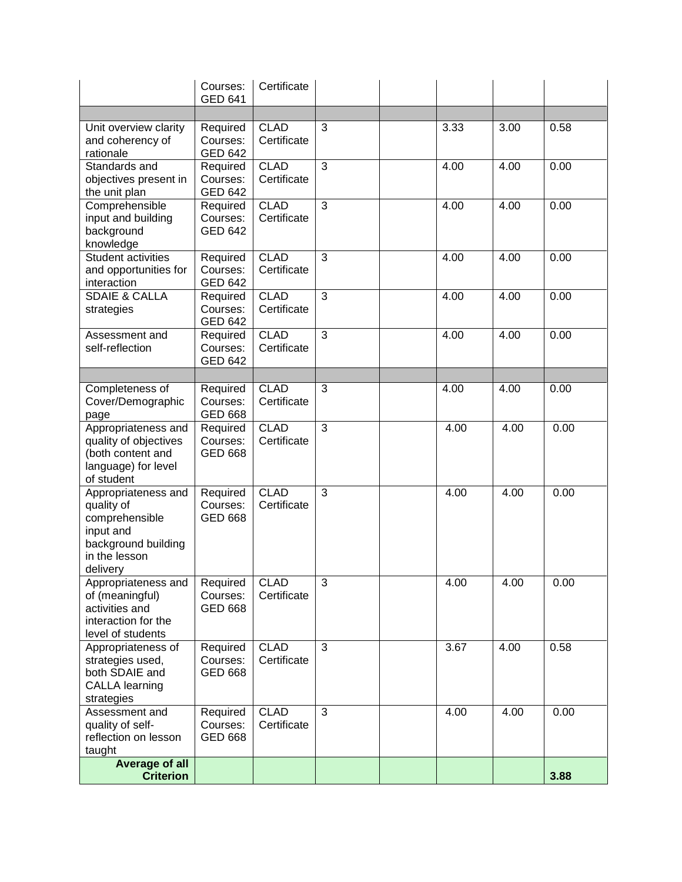|                                                                                                                      | Courses:<br><b>GED 641</b>             | Certificate                |                |      |      |      |
|----------------------------------------------------------------------------------------------------------------------|----------------------------------------|----------------------------|----------------|------|------|------|
|                                                                                                                      |                                        |                            |                |      |      |      |
| Unit overview clarity<br>and coherency of<br>rationale                                                               | Required<br>Courses:<br><b>GED 642</b> | <b>CLAD</b><br>Certificate | 3              | 3.33 | 3.00 | 0.58 |
| Standards and<br>objectives present in<br>the unit plan                                                              | Required<br>Courses:<br><b>GED 642</b> | <b>CLAD</b><br>Certificate | 3              | 4.00 | 4.00 | 0.00 |
| Comprehensible<br>input and building<br>background<br>knowledge                                                      | Required<br>Courses:<br><b>GED 642</b> | <b>CLAD</b><br>Certificate | $\overline{3}$ | 4.00 | 4.00 | 0.00 |
| Student activities<br>and opportunities for<br>interaction                                                           | Required<br>Courses:<br><b>GED 642</b> | <b>CLAD</b><br>Certificate | $\overline{3}$ | 4.00 | 4.00 | 0.00 |
| <b>SDAIE &amp; CALLA</b><br>strategies                                                                               | Required<br>Courses:<br><b>GED 642</b> | <b>CLAD</b><br>Certificate | 3              | 4.00 | 4.00 | 0.00 |
| Assessment and<br>self-reflection                                                                                    | Required<br>Courses:<br><b>GED 642</b> | <b>CLAD</b><br>Certificate | $\overline{3}$ | 4.00 | 4.00 | 0.00 |
|                                                                                                                      |                                        |                            |                |      |      |      |
| Completeness of<br>Cover/Demographic<br>page                                                                         | Required<br>Courses:<br><b>GED 668</b> | <b>CLAD</b><br>Certificate | 3              | 4.00 | 4.00 | 0.00 |
| Appropriateness and<br>quality of objectives<br>(both content and<br>language) for level<br>of student               | Required<br>Courses:<br><b>GED 668</b> | <b>CLAD</b><br>Certificate | 3              | 4.00 | 4.00 | 0.00 |
| Appropriateness and<br>quality of<br>comprehensible<br>input and<br>background building<br>in the lesson<br>delivery | Required<br>Courses:<br><b>GED 668</b> | <b>CLAD</b><br>Certificate | 3              | 4.00 | 4.00 | 0.00 |
| Appropriateness and<br>of (meaningful)<br>activities and<br>interaction for the<br>level of students                 | Required<br>Courses:<br><b>GED 668</b> | <b>CLAD</b><br>Certificate | $\overline{3}$ | 4.00 | 4.00 | 0.00 |
| Appropriateness of<br>strategies used,<br>both SDAIE and<br><b>CALLA learning</b><br>strategies                      | Required<br>Courses:<br><b>GED 668</b> | <b>CLAD</b><br>Certificate | 3              | 3.67 | 4.00 | 0.58 |
| Assessment and<br>quality of self-<br>reflection on lesson<br>taught                                                 | Required<br>Courses:<br><b>GED 668</b> | <b>CLAD</b><br>Certificate | 3              | 4.00 | 4.00 | 0.00 |
| Average of all<br><b>Criterion</b>                                                                                   |                                        |                            |                |      |      | 3.88 |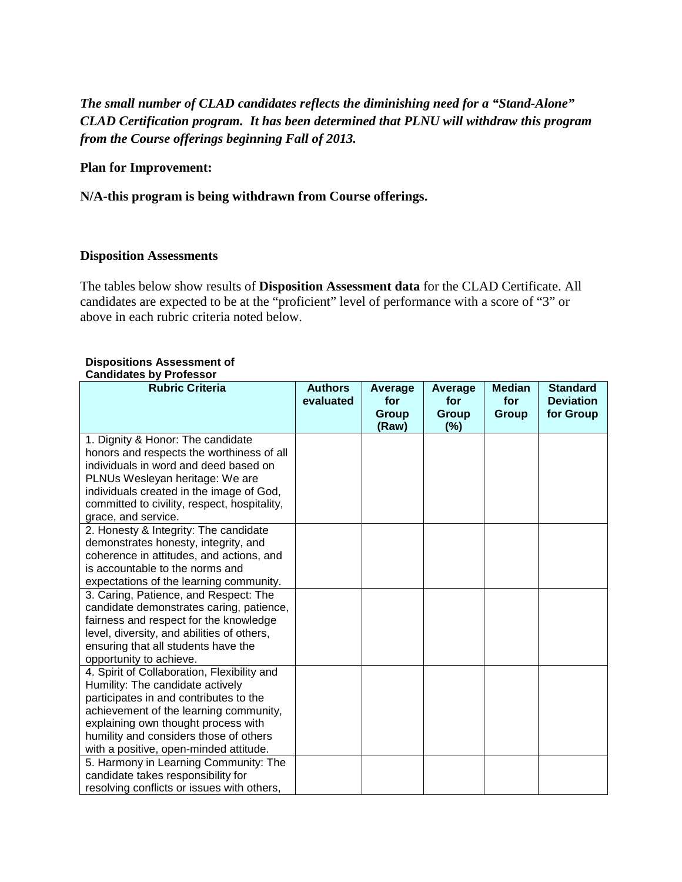# *The small number of CLAD candidates reflects the diminishing need for a "Stand-Alone" CLAD Certification program. It has been determined that PLNU will withdraw this program from the Course offerings beginning Fall of 2013.*

### **Plan for Improvement:**

**N/A-this program is being withdrawn from Course offerings.**

#### **Disposition Assessments**

The tables below show results of **Disposition Assessment data** for the CLAD Certificate. All candidates are expected to be at the "proficient" level of performance with a score of "3" or above in each rubric criteria noted below.

#### **Dispositions Assessment of Candidates by Professor**

| oanaraatoo iyoo markaa m                     |                |         |              |               |                  |
|----------------------------------------------|----------------|---------|--------------|---------------|------------------|
| <b>Rubric Criteria</b>                       | <b>Authors</b> | Average | Average      | <b>Median</b> | <b>Standard</b>  |
|                                              | evaluated      | for     | for          | for           | <b>Deviation</b> |
|                                              |                | Group   | <b>Group</b> | Group         | for Group        |
|                                              |                | (Raw)   | (%)          |               |                  |
| 1. Dignity & Honor: The candidate            |                |         |              |               |                  |
| honors and respects the worthiness of all    |                |         |              |               |                  |
| individuals in word and deed based on        |                |         |              |               |                  |
| PLNUs Wesleyan heritage: We are              |                |         |              |               |                  |
| individuals created in the image of God,     |                |         |              |               |                  |
| committed to civility, respect, hospitality, |                |         |              |               |                  |
| grace, and service.                          |                |         |              |               |                  |
| 2. Honesty & Integrity: The candidate        |                |         |              |               |                  |
| demonstrates honesty, integrity, and         |                |         |              |               |                  |
| coherence in attitudes, and actions, and     |                |         |              |               |                  |
| is accountable to the norms and              |                |         |              |               |                  |
| expectations of the learning community.      |                |         |              |               |                  |
| 3. Caring, Patience, and Respect: The        |                |         |              |               |                  |
| candidate demonstrates caring, patience,     |                |         |              |               |                  |
| fairness and respect for the knowledge       |                |         |              |               |                  |
| level, diversity, and abilities of others,   |                |         |              |               |                  |
| ensuring that all students have the          |                |         |              |               |                  |
| opportunity to achieve.                      |                |         |              |               |                  |
| 4. Spirit of Collaboration, Flexibility and  |                |         |              |               |                  |
| Humility: The candidate actively             |                |         |              |               |                  |
| participates in and contributes to the       |                |         |              |               |                  |
| achievement of the learning community,       |                |         |              |               |                  |
| explaining own thought process with          |                |         |              |               |                  |
| humility and considers those of others       |                |         |              |               |                  |
| with a positive, open-minded attitude.       |                |         |              |               |                  |
| 5. Harmony in Learning Community: The        |                |         |              |               |                  |
| candidate takes responsibility for           |                |         |              |               |                  |
| resolving conflicts or issues with others,   |                |         |              |               |                  |